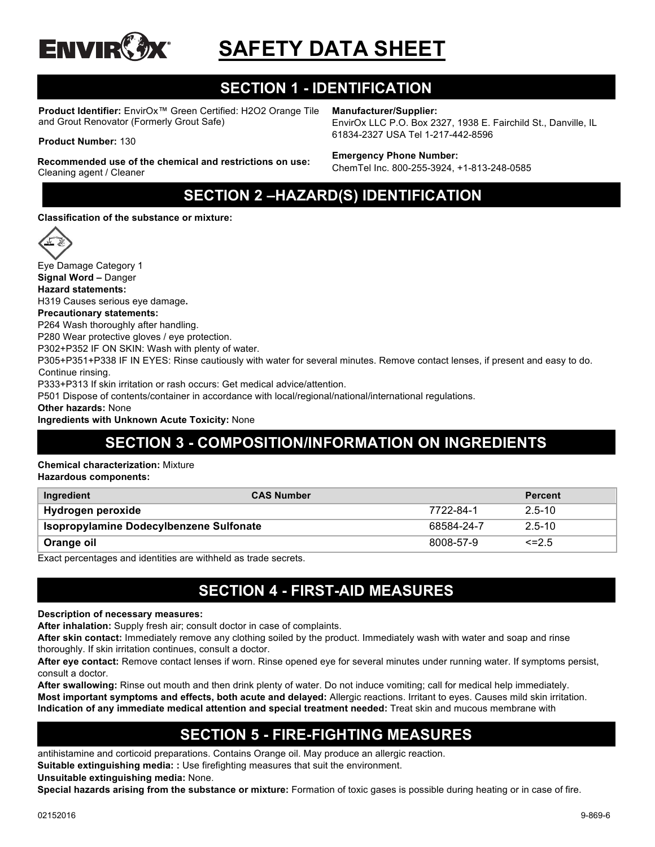

# **SAFETY DATA SHEET**

# **SECTION 1 - IDENTIFICATION**

**Product Identifier:** EnvirOx™ Green Certified: H2O2 Orange Tile and Grout Renovator (Formerly Grout Safe)

#### **Product Number:** 130

**Recommended use of the chemical and restrictions on use:**  Cleaning agent / Cleaner

**Manufacturer/Supplier:**

EnvirOx LLC P.O. Box 2327, 1938 E. Fairchild St., Danville, IL 61834-2327 USA Tel 1-217-442-8596

#### **Emergency Phone Number:**

ChemTel Inc. 800-255-3924, +1-813-248-0585

# **SECTION 2 –HAZARD(S) IDENTIFICATION**

**Classification of the substance or mixture:**



Eye Damage Category 1 **Signal Word –** Danger **Hazard statements:**

H319 Causes serious eye damage**.**

**Precautionary statements:**

P264 Wash thoroughly after handling.

P280 Wear protective gloves / eye protection.

P302+P352 IF ON SKIN: Wash with plenty of water.

P305+P351+P338 IF IN EYES: Rinse cautiously with water for several minutes. Remove contact lenses, if present and easy to do. Continue rinsing.

P333+P313 If skin irritation or rash occurs: Get medical advice/attention.

P501 Dispose of contents/container in accordance with local/regional/national/international regulations.

**Other hazards:** None

**Ingredients with Unknown Acute Toxicity:** None

# **SECTION 3 - COMPOSITION/INFORMATION ON INGREDIENTS**

**Chemical characterization:** Mixture

**Hazardous components:**

| Ingredient                                     | <b>CAS Number</b> |            | <b>Percent</b> |
|------------------------------------------------|-------------------|------------|----------------|
| Hydrogen peroxide                              |                   | 7722-84-1  | $2.5 - 10$     |
| <b>Isopropylamine Dodecylbenzene Sulfonate</b> |                   | 68584-24-7 | $2.5 - 10$     |
| Orange oil                                     |                   | 8008-57-9  | $\leq$ 2.5     |

Exact percentages and identities are withheld as trade secrets.

#### **SECTION 4 - FIRST-AID MEASURES**

#### **Description of necessary measures:**

**After inhalation:** Supply fresh air; consult doctor in case of complaints.

**After skin contact:** Immediately remove any clothing soiled by the product. Immediately wash with water and soap and rinse thoroughly. If skin irritation continues, consult a doctor.

**After eye contact:** Remove contact lenses if worn. Rinse opened eye for several minutes under running water. If symptoms persist, consult a doctor.

**After swallowing:** Rinse out mouth and then drink plenty of water. Do not induce vomiting; call for medical help immediately. **Most important symptoms and effects, both acute and delayed:** Allergic reactions. Irritant to eyes. Causes mild skin irritation. **Indication of any immediate medical attention and special treatment needed:** Treat skin and mucous membrane with

### **SECTION 5 - FIRE-FIGHTING MEASURES**

antihistamine and corticoid preparations. Contains Orange oil. May produce an allergic reaction.

**Suitable extinguishing media: :** Use firefighting measures that suit the environment.

**Unsuitable extinguishing media:** None.

**Special hazards arising from the substance or mixture:** Formation of toxic gases is possible during heating or in case of fire.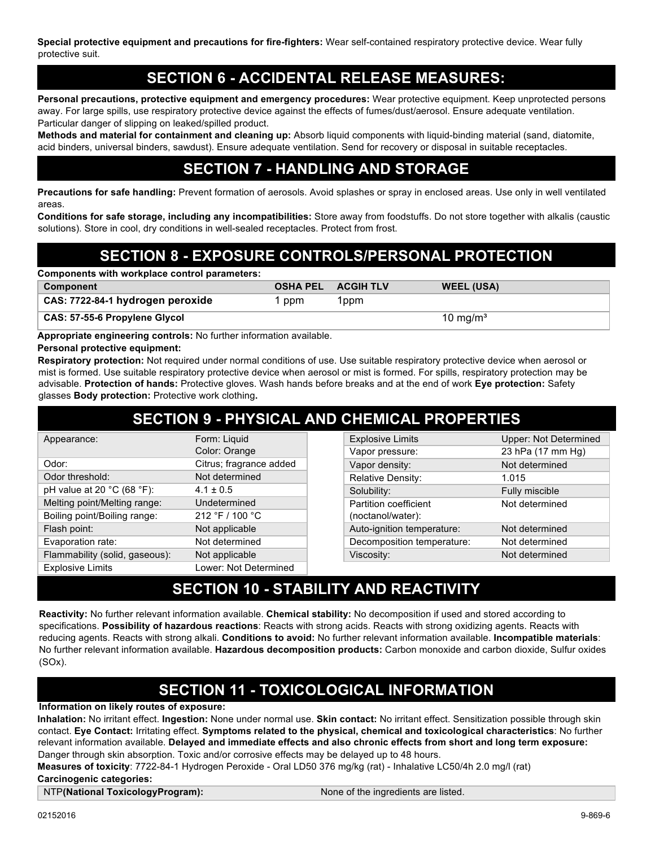**Special protective equipment and precautions for fire-fighters:** Wear self-contained respiratory protective device. Wear fully protective suit.

#### **SECTION 6 - ACCIDENTAL RELEASE MEASURES:**

**Personal precautions, protective equipment and emergency procedures:** Wear protective equipment. Keep unprotected persons away. For large spills, use respiratory protective device against the effects of fumes/dust/aerosol. Ensure adequate ventilation. Particular danger of slipping on leaked/spilled product.

**Methods and material for containment and cleaning up:** Absorb liquid components with liquid-binding material (sand, diatomite, acid binders, universal binders, sawdust). Ensure adequate ventilation. Send for recovery or disposal in suitable receptacles.

### **SECTION 7 - HANDLING AND STORAGE**

**Precautions for safe handling:** Prevent formation of aerosols. Avoid splashes or spray in enclosed areas. Use only in well ventilated areas.

**Conditions for safe storage, including any incompatibilities:** Store away from foodstuffs. Do not store together with alkalis (caustic solutions). Store in cool, dry conditions in well-sealed receptacles. Protect from frost.

# **SECTION 8 - EXPOSURE CONTROLS/PERSONAL PROTECTION**

| Components with workplace control parameters: |     |                           |                   |  |
|-----------------------------------------------|-----|---------------------------|-------------------|--|
| Component                                     |     | <b>OSHA PEL ACGIH TLV</b> | <b>WEEL (USA)</b> |  |
| CAS: 7722-84-1 hydrogen peroxide              | ppm | 1ppm                      |                   |  |
| CAS: 57-55-6 Propylene Glycol                 |     |                           | 10 mg/m $3$       |  |

**Appropriate engineering controls:** No further information available.

**Personal protective equipment:**

**Respiratory protection:** Not required under normal conditions of use. Use suitable respiratory protective device when aerosol or mist is formed. Use suitable respiratory protective device when aerosol or mist is formed. For spills, respiratory protection may be advisable. **Protection of hands:** Protective gloves. Wash hands before breaks and at the end of work **Eye protection:** Safety glasses **Body protection:** Protective work clothing**.**

| <b>SECTION 9 - PHYSICAL AND CHEMICAL PROPERTIES</b> |                         |  |                            |                              |
|-----------------------------------------------------|-------------------------|--|----------------------------|------------------------------|
| Appearance:                                         | Form: Liquid            |  | <b>Explosive Limits</b>    | <b>Upper: Not Determined</b> |
|                                                     | Color: Orange           |  | Vapor pressure:            | 23 hPa (17 mm Hg)            |
| Odor:                                               | Citrus; fragrance added |  | Vapor density:             | Not determined               |
| Odor threshold:                                     | Not determined          |  | <b>Relative Density:</b>   | 1.015                        |
| pH value at 20 $^{\circ}$ C (68 $^{\circ}$ F):      | $4.1 \pm 0.5$           |  | Solubility:                | Fully miscible               |
| Melting point/Melting range:                        | Undetermined            |  | Partition coefficient      | Not determined               |
| Boiling point/Boiling range:                        | 212 °F / 100 °C         |  | (noctanol/water):          |                              |
| Flash point:                                        | Not applicable          |  | Auto-ignition temperature: | Not determined               |
| Evaporation rate:                                   | Not determined          |  | Decomposition temperature: | Not determined               |
| Flammability (solid, gaseous):                      | Not applicable          |  | Viscosity:                 | Not determined               |
| <b>Explosive Limits</b>                             | Lower: Not Determined   |  |                            |                              |

### **SECTION 10 - STABILITY AND REACTIVITY**

**Reactivity:** No further relevant information available. **Chemical stability:** No decomposition if used and stored according to specifications. **Possibility of hazardous reactions**: Reacts with strong acids. Reacts with strong oxidizing agents. Reacts with reducing agents. Reacts with strong alkali. **Conditions to avoid:** No further relevant information available. **Incompatible materials**: No further relevant information available. **Hazardous decomposition products:** Carbon monoxide and carbon dioxide, Sulfur oxides (SOx).

# **SECTION 11 - TOXICOLOGICAL INFORMATION**

#### **Information on likely routes of exposure:**

**Inhalation:** No irritant effect. **Ingestion:** None under normal use. **Skin contact:** No irritant effect. Sensitization possible through skin contact. **Eye Contact:** Irritating effect. **Symptoms related to the physical, chemical and toxicological characteristics**: No further relevant information available. **Delayed and immediate effects and also chronic effects from short and long term exposure:**  Danger through skin absorption. Toxic and/or corrosive effects may be delayed up to 48 hours.

**Measures of toxicity**: 7722-84-1 Hydrogen Peroxide - Oral LD50 376 mg/kg (rat) - Inhalative LC50/4h 2.0 mg/l (rat) **Carcinogenic categories:**

NTP**(National ToxicologyProgram):** None of the ingredients are listed.